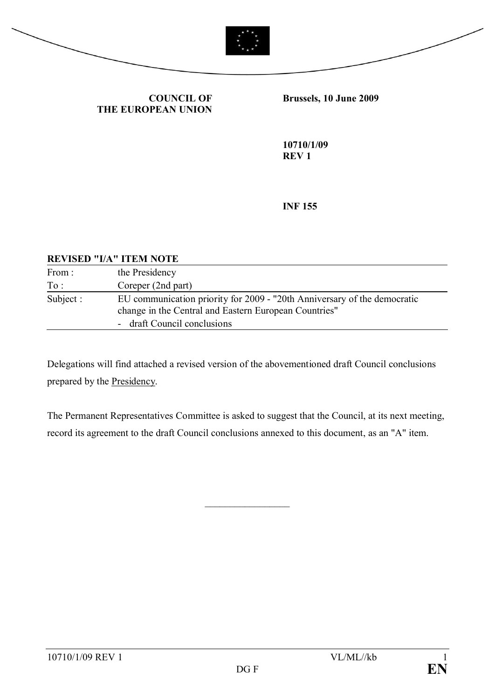



**COUNCIL OF THE EUROPEAN UNION** **Brussels, 10 June 2009**

**10710/1/09 REV 1**

**INF 155**

## **REVISED "I/A" ITEM NOTE**

| From:     | the Presidency                                                                                                                    |
|-----------|-----------------------------------------------------------------------------------------------------------------------------------|
| To:       | Coreper (2nd part)                                                                                                                |
| Subject : | EU communication priority for 2009 - "20th Anniversary of the democratic<br>change in the Central and Eastern European Countries" |
|           | - draft Council conclusions                                                                                                       |

Delegations will find attached a revised version of the abovementioned draft Council conclusions prepared by the Presidency.

The Permanent Representatives Committee is asked to suggest that the Council, at its next meeting, record its agreement to the draft Council conclusions annexed to this document, as an "A" item.

 $\frac{1}{2}$  ,  $\frac{1}{2}$  ,  $\frac{1}{2}$  ,  $\frac{1}{2}$  ,  $\frac{1}{2}$  ,  $\frac{1}{2}$  ,  $\frac{1}{2}$  ,  $\frac{1}{2}$  ,  $\frac{1}{2}$